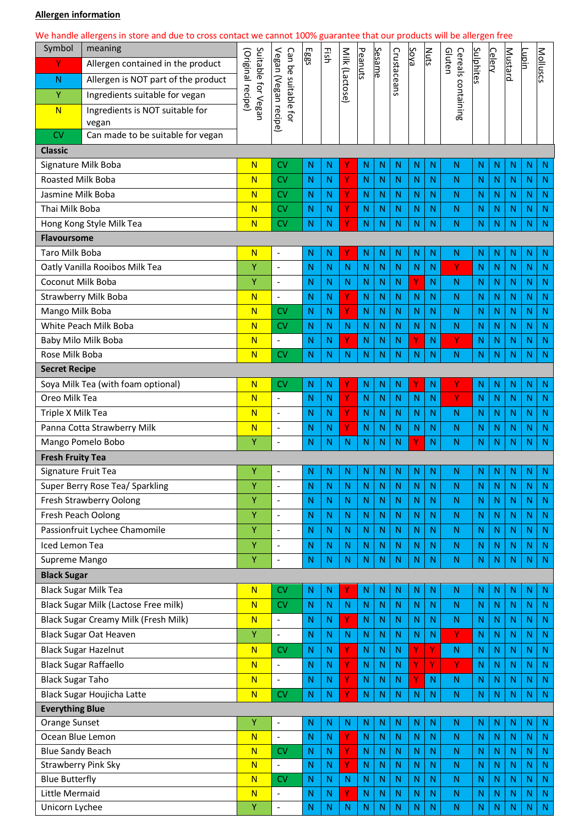## **Allergen information**

|                                                     | We handle allergens in store and due to cross contact we cannot 100% guarantee that our products will be allergen free |                                                                                           |                              |                |                |              |                   |                   |           |                            |                   |              |               |                              |              |                 |                   |
|-----------------------------------------------------|------------------------------------------------------------------------------------------------------------------------|-------------------------------------------------------------------------------------------|------------------------------|----------------|----------------|--------------|-------------------|-------------------|-----------|----------------------------|-------------------|--------------|---------------|------------------------------|--------------|-----------------|-------------------|
| Symbol                                              | meaning                                                                                                                | Suitable for Vegan<br>Vegan (Vegan recipe)<br>Can be<br>(Original recipe)<br>suitable for | Eggs                         | Ηsh            |                |              |                   |                   | Soya      | <b>Nuts</b>                |                   |              | <b>Celery</b> | <b>Mustard</b>               | Lupin        | <b>Molluscs</b> |                   |
| Υ                                                   | Allergen contained in the product                                                                                      |                                                                                           |                              |                | Milk (Lactose) | Peanuts      | Sesame            |                   |           |                            | Cereals<br>Gluten | Sulphites    |               |                              |              |                 |                   |
| $\mathsf{N}$                                        | Allergen is NOT part of the product                                                                                    |                                                                                           |                              |                |                |              |                   | Crustaceans       |           |                            | containing        |              |               |                              |              |                 |                   |
| Υ                                                   | Ingredients suitable for vegan                                                                                         |                                                                                           |                              |                |                |              |                   |                   |           |                            |                   |              |               |                              |              |                 |                   |
| N                                                   | Ingredients is NOT suitable for                                                                                        |                                                                                           |                              |                |                |              |                   |                   |           |                            |                   |              |               |                              |              |                 |                   |
|                                                     | vegan                                                                                                                  |                                                                                           |                              |                |                |              |                   |                   |           |                            |                   |              |               |                              |              |                 |                   |
| CV                                                  | Can made to be suitable for vegan                                                                                      |                                                                                           |                              |                |                |              |                   |                   |           |                            |                   |              |               |                              |              |                 |                   |
| <b>Classic</b>                                      |                                                                                                                        |                                                                                           |                              |                |                |              |                   |                   |           |                            |                   |              |               |                              |              |                 |                   |
| Signature Milk Boba                                 |                                                                                                                        | $\overline{\mathsf{N}}$                                                                   | <b>CV</b>                    | N              | N              |              | N                 | N                 | N         | N                          | N                 | N            | Ν             | $\mathsf{N}$                 | N            | Ν               | $\mathsf{N}$      |
| Roasted Milk Boba                                   |                                                                                                                        | $\overline{\mathsf{N}}$                                                                   | <b>CV</b>                    | N              | N              | Υ            | N                 | N                 | N         | N                          | N                 | N            | Ν             | $\mathsf{N}$                 | N            | N               | $\mathsf{N}$      |
| Jasmine Milk Boba<br>Thai Milk Boba                 |                                                                                                                        | $\overline{\mathsf{N}}$<br>$\overline{\mathsf{N}}$                                        | <b>CV</b><br><b>CV</b>       | N<br>N         | N<br>N         | Υ<br>۷       | $\mathsf{N}$<br>N | N<br>N            | N<br>N    | N<br>N                     | N<br>N            | N<br>N       | N<br>Ν        | $\mathsf{N}$<br>$\mathsf{N}$ | N<br>N       | N<br>N          | N<br>$\mathsf{N}$ |
|                                                     | Hong Kong Style Milk Tea                                                                                               | $\overline{\mathsf{N}}$                                                                   | <b>CV</b>                    | N              | $\mathsf{N}$   | v            | N                 | N.                | N         | N                          | N                 | $\mathsf{N}$ | N             | N                            | N            | N               | N                 |
| <b>Flavoursome</b>                                  |                                                                                                                        |                                                                                           |                              |                |                |              |                   |                   |           |                            |                   |              |               |                              |              |                 |                   |
| Taro Milk Boba                                      |                                                                                                                        | $\overline{\mathsf{N}}$                                                                   | $\overline{a}$               | N              | N              |              | N                 | N                 | N         | N                          | N                 | N            | Ν             | $\mathsf{N}$                 | N            | Ν               | $\mathsf{N}$      |
|                                                     | Oatly Vanilla Rooibos Milk Tea                                                                                         | Ÿ                                                                                         | $\overline{a}$               | N              | N              | N            | N                 | N.                | N         | N                          | N                 | Y            | Ν             | $\mathsf{N}$                 | N            | N               | $\mathsf{N}$      |
| Coconut Milk Boba                                   |                                                                                                                        | Ÿ                                                                                         | $\overline{a}$               | N              | N              | N            | N                 | N                 | N         | Y                          | N                 | $\mathsf{N}$ | Ν             | $\mathsf{N}$                 | N            | N               | N                 |
|                                                     | <b>Strawberry Milk Boba</b>                                                                                            | $\overline{\mathsf{N}}$                                                                   | $\blacksquare$               | N              | N              | Υ            | N                 | N                 | N         | N                          | N                 | N            | Ν             | $\mathsf{N}$                 | N            | N               | $\mathsf{N}$      |
| Mango Milk Boba                                     |                                                                                                                        | $\overline{\mathsf{N}}$                                                                   | <b>CV</b>                    | N              | $\mathsf{N}$   | Ÿ            | N                 | N                 | N         | N                          | N                 | N            | N             | $\mathsf{N}$                 | N            | N               | $\mathsf{N}$      |
| White Peach Milk Boba                               |                                                                                                                        | $\overline{\mathsf{N}}$                                                                   | <b>CV</b>                    | N              | N              | N            | N                 | N                 | N         | $\mathsf{N}$               | N                 | N            | Ν             | $\mathsf{N}$                 | N            | N               | N                 |
| Baby Milo Milk Boba                                 |                                                                                                                        | $\overline{\mathsf{N}}$                                                                   | $\blacksquare$               | N              | N              | Y.           | N                 | N                 | N         | Y                          | N                 | Y            | N             | $\mathsf{N}$                 | N            | N               | $\mathsf{N}$      |
| Rose Milk Boba                                      |                                                                                                                        | $\overline{\mathsf{N}}$                                                                   | <b>CV</b>                    | N              | $\mathsf{N}$   | $\mathsf{N}$ | N                 | N                 | N         | N                          | N                 | N            | Ν             | $\mathsf{N}$                 | N            | N               | $\mathsf{N}$      |
| <b>Secret Recipe</b>                                |                                                                                                                        |                                                                                           |                              |                |                |              |                   |                   |           |                            |                   |              |               |                              |              |                 |                   |
| Soya Milk Tea (with foam optional)                  |                                                                                                                        | $\overline{\mathsf{N}}$                                                                   | <b>CV</b>                    | $\mathsf{N}$   | N              | Υ            | N                 | N                 | N         | Υ                          | N                 | Υ            | Ν             | N                            | N            | N               | $\mathsf{N}$      |
| Oreo Milk Tea                                       |                                                                                                                        | $\overline{\mathsf{N}}$                                                                   | $\blacksquare$               | N              | N              | Ÿ            | N                 | $\mathsf{N}$      | N         | N                          | N                 | Ÿ            | Ν             | N                            | N            | N               | $\mathsf{N}$      |
| Triple X Milk Tea                                   |                                                                                                                        | $\overline{\mathsf{N}}$                                                                   | $\overline{a}$               | N              | N              | Ÿ            | N                 | N                 | N         | N                          | N                 | N            | N             | $\mathsf{N}$                 | N            | N               | N                 |
| Panna Cotta Strawberry Milk                         |                                                                                                                        | $\overline{\mathsf{N}}$                                                                   | $\overline{a}$               | Ν              | N              | Υ            | N                 | N                 | N         | N                          | N                 | N            | Ν             | $\mathsf{N}$                 | N            | N               | $\mathsf{N}$      |
| Mango Pomelo Bobo                                   |                                                                                                                        | Ÿ                                                                                         | $\overline{a}$               | N              | $\mathsf{N}$   | N            | N                 | N                 | N         | Y                          | N                 | N            | N             | N                            | N            | N               | N                 |
| <b>Fresh Fruity Tea</b>                             |                                                                                                                        |                                                                                           |                              |                |                |              |                   |                   |           |                            |                   |              |               |                              |              |                 |                   |
| Signature Fruit Tea                                 |                                                                                                                        | Υ                                                                                         |                              | $\overline{N}$ | N              | N            |                   | $N$ $N$           | ${\sf N}$ | $\overline{\phantom{a}}$ N | $\overline{N}$    | ${\sf N}$    |               | $N$ $N$                      | N            | $N$ N           |                   |
|                                                     | Super Berry Rose Tea/ Sparkling                                                                                        | Υ                                                                                         | $\frac{1}{2}$                | N              | N              | N            | N                 | N                 | N         | N                          | N                 | N            | Ν             | N                            | $\mathsf{N}$ | N               | $\mathsf{N}$      |
|                                                     | Fresh Strawberry Oolong                                                                                                | Ÿ                                                                                         | $\overline{a}$               | N              | N              | N            | N                 | ${\sf N}$         | N         | N                          | N                 | N            | $\mathsf{N}$  | N                            | N            | N               | N                 |
|                                                     | Fresh Peach Oolong                                                                                                     | Υ                                                                                         | $\overline{a}$               | N              | N              | N            | N                 | N                 | N         | N                          | N                 | N            | Ν             | $\mathsf{N}$                 | N            | N               | N                 |
| Passionfruit Lychee Chamomile                       |                                                                                                                        | Ÿ                                                                                         | $\overline{a}$               | N              | N              | N            | N                 | $\mathsf{N}$      | N         | N                          | N                 | N            | N             | N                            | N            | N               | N                 |
| Iced Lemon Tea                                      |                                                                                                                        | Υ                                                                                         | $\overline{a}$               | $\mathsf{N}$   | N              | $\mathsf{N}$ | N                 | $\mathsf{N}$      | N         | $\mathsf{N}$               | N                 | N            | N             | $\mathbb N$                  | N            | N               | $\mathsf{N}$      |
| Supreme Mango                                       |                                                                                                                        | Y                                                                                         | $\overline{a}$               | N              | N              | N            | N                 | $\mathsf{N}$      | N         | N                          | N                 | N            | N             | N                            | N            | N               | N                 |
| <b>Black Sugar</b>                                  |                                                                                                                        |                                                                                           |                              |                |                |              |                   |                   |           |                            |                   |              |               |                              |              |                 |                   |
|                                                     | <b>Black Sugar Milk Tea</b>                                                                                            | $\overline{\mathsf{N}}$                                                                   | <b>CV</b>                    | N              | $\mathsf{N}$   | Υ            | N                 | N                 | N         | N                          | N                 | N            | Ν             | N                            | N            | N               | N                 |
|                                                     | Black Sugar Milk (Lactose Free milk)                                                                                   | $\overline{\mathsf{N}}$                                                                   | <b>CV</b>                    | $\mathsf{N}$   | $\mathsf{N}$   | N            | N                 | $\mathsf{N}$      | N         | N                          | N                 | $\mathsf{N}$ | Ν             | N                            | $\mathsf{N}$ | N               | N                 |
|                                                     | <b>Black Sugar Creamy Milk (Fresh Milk)</b>                                                                            | $\overline{\mathsf{N}}$                                                                   | $\overline{a}$               | N              | N              | Υ            | N                 | N                 | N         | N                          | N                 | N            | N             | $\mathsf{N}$                 | N            | N               | N                 |
|                                                     | <b>Black Sugar Oat Heaven</b>                                                                                          | Ÿ                                                                                         | $\blacksquare$               | N              | N              | N            | N                 | N                 | N         | N                          | N                 | Υ            | N             | N                            | N            | N               | N                 |
|                                                     | <b>Black Sugar Hazelnut</b>                                                                                            | $\mathsf{N}$                                                                              | <b>CV</b>                    | N              | N              | Υ            | $\mathsf{N}$      | N                 | N         | Υ                          | Υ                 | N            | N             | $\mathsf{N}$                 | N            | N               | N                 |
| <b>Black Sugar Raffaello</b>                        |                                                                                                                        | $\overline{\mathsf{N}}$                                                                   | $\blacksquare$               | N              | N              | Ÿ            | $\mathsf{N}$      | N.                | N         | Υ                          | Y                 | Y            | N             | $\mathsf{N}$                 | N            | N               | N                 |
| <b>Black Sugar Taho</b>                             |                                                                                                                        | $\overline{\mathsf{N}}$                                                                   | $\qquad \qquad \blacksquare$ | N              | $\mathsf{N}$   | Υ            | N                 | N                 | N         | Υ                          | N                 | N            | Ν             | $\mathsf{N}$                 | N            | N               | N                 |
| <b>Black Sugar Houjicha Latte</b>                   |                                                                                                                        | $\overline{\mathsf{N}}$                                                                   | <b>CV</b>                    | N              | N              | Y            | N                 | N                 | N         | N                          | N                 | N            | N             | N                            | N            | N               | N                 |
| <b>Everything Blue</b>                              |                                                                                                                        |                                                                                           |                              |                |                |              |                   |                   |           |                            |                   |              |               |                              |              |                 |                   |
| Orange Sunset                                       |                                                                                                                        | Υ                                                                                         | $\overline{a}$               | N              | N              | $\mathsf{N}$ | N                 | N                 | N         | $\mathsf{N}$               | $\mathsf{N}$      | N            | Ν             | $\mathsf{N}$                 | $\mathsf{N}$ | N               | N                 |
| Ocean Blue Lemon                                    |                                                                                                                        | $\overline{\mathsf{N}}$                                                                   | $\overline{a}$               | N              | N              | Y            | N                 | $\mathsf{N}$      | N         | N                          | N                 | $\mathsf{N}$ | Ν             | N                            | N            | N               | N                 |
| <b>Blue Sandy Beach</b>                             |                                                                                                                        | $\overline{\mathsf{N}}$                                                                   | <b>CV</b>                    | N              | $\mathsf{N}$   | Ÿ<br>Ÿ       | N                 | $\mathsf{N}$      | N         | N                          | N                 | $\mathsf{N}$ | Ν             | $\mathsf{N}$                 | N            | N               | $\mathsf{N}$      |
| <b>Strawberry Pink Sky</b><br><b>Blue Butterfly</b> |                                                                                                                        | $\overline{\mathsf{N}}$<br>$\overline{\mathsf{N}}$                                        | $\blacksquare$<br><b>CV</b>  | N<br>N         | N<br>N         | N            | $\mathbb N$<br>N  | $\mathsf{N}$<br>N | N<br>N    | N<br>N                     | N<br>N            | N<br>N       | Ν<br>Ν        | N<br>$\mathsf{N}$            | N<br>N       | N<br>N          | N<br>N            |
| Little Mermaid                                      |                                                                                                                        | $\overline{\mathsf{N}}$                                                                   |                              | N              | N              | ٧            | N                 | N                 | N         | N                          | N                 | N            | Ν             | N                            | N            | N               | N                 |
|                                                     |                                                                                                                        | Υ                                                                                         | $\overline{a}$               | N              | $\mathsf{N}$   | N            | Ν                 | N                 | N         | N                          | N                 | N            | N             | $\mathsf{N}$                 | N            | N               | N                 |
| Unicorn Lychee                                      |                                                                                                                        |                                                                                           |                              |                |                |              |                   |                   |           |                            |                   |              |               |                              |              |                 |                   |